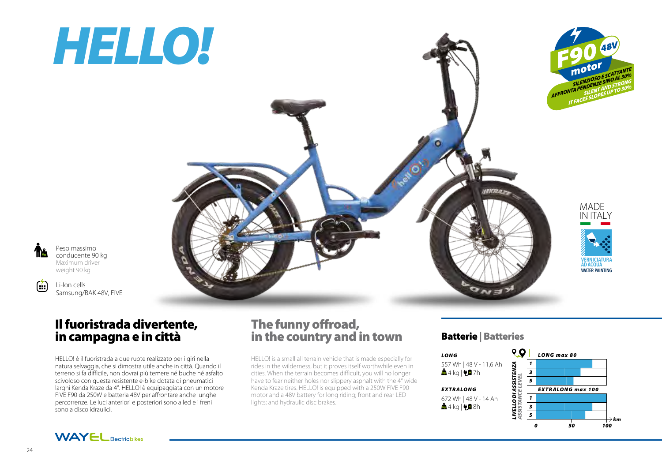# *HELLO!*



Peso massimo conducente 90 kg Maximum driver weight 90 kg

Kg

 $\left( \frac{1}{2} \right)$ 

Li-Ion cells Samsung/BAK 48V, FIVE

## Il fuoristrada divertente, in campagna e in città

HELLO! è il fuoristrada a due ruote realizzato per i giri nella natura selvaggia, che si dimostra utile anche in città. Quando il terreno si fa difficile, non dovrai più temere né buche né asfalto scivoloso con questa resistente e-bike dotata di pneumatici larghi Kenda Kraze da 4". HELLO! è equipaggiata con un motore FIVE F90 da 250W e batteria 48V per affrontare anche lunghe percorrenze. Le luci anteriori e posteriori sono a led e i freni sono a disco idraulici.

## The funny offroad, in the country and in town

HELLO! is a small all terrain vehicle that is made especially for rides in the wilderness, but it proves itself worthwhile even in cities. When the terrain becomes difficult, you will no longer have to fear neither holes nor slippery asphalt with the 4" wide Kenda Kraze tires. HELLO! is equipped with a 250W FIVE F90 motor and a 48V battery for long riding; front and rear LED lights; and hydraulic disc brakes.

### Batterie | Batteries